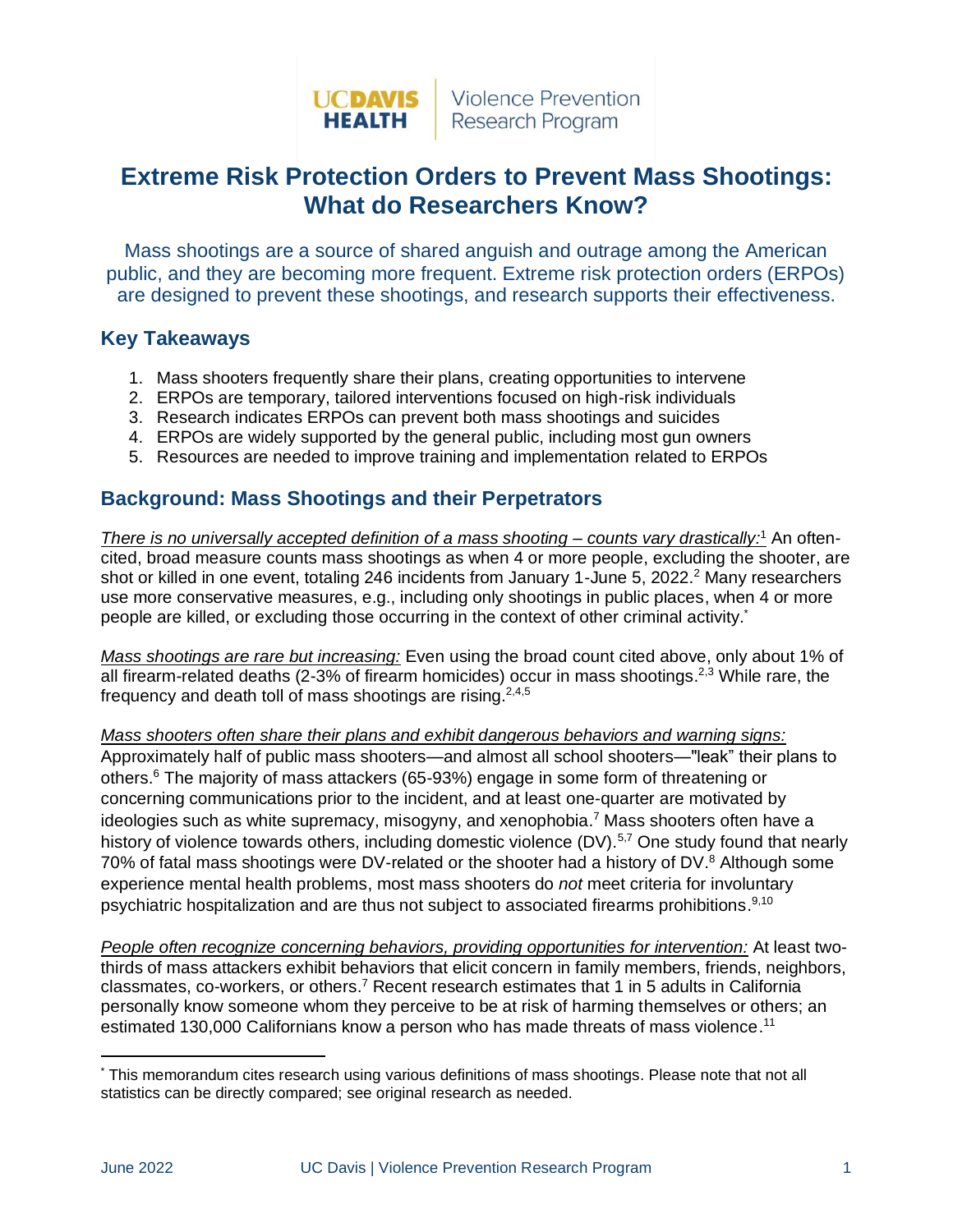

## **Extreme Risk Protection Orders to Prevent Mass Shootings: What do Researchers Know?**

Mass shootings are a source of shared anguish and outrage among the American public, and they are becoming more frequent. Extreme risk protection orders (ERPOs) are designed to prevent these shootings, and research supports their effectiveness.

## **Key Takeaways**

- 1. Mass shooters frequently share their plans, creating opportunities to intervene
- 2. ERPOs are temporary, tailored interventions focused on high-risk individuals
- 3. Research indicates ERPOs can prevent both mass shootings and suicides
- 4. ERPOs are widely supported by the general public, including most gun owners
- 5. Resources are needed to improve training and implementation related to ERPOs

## **Background: Mass Shootings and their Perpetrators**

*There is no universally accepted definition of a mass shooting – counts vary drastically:<sup>1</sup> An often*cited, broad measure counts mass shootings as when 4 or more people, excluding the shooter, are shot or killed in one event, totaling 246 incidents from January 1-June 5, 2022.<sup>2</sup> Many researchers use more conservative measures, e.g., including only shootings in public places, when 4 or more people are killed, or excluding those occurring in the context of other criminal activity.\*

*Mass shootings are rare but increasing:* Even using the broad count cited above, only about 1% of all firearm-related deaths (2-3% of firearm homicides) occur in mass shootings.<sup>2,3</sup> While rare, the frequency and death toll of mass shootings are rising.<sup>2,4,5</sup>

*Mass shooters often share their plans and exhibit dangerous behaviors and warning signs:* Approximately half of public mass shooters—and almost all school shooters—"leak" their plans to others. <sup>6</sup> The majority of mass attackers (65-93%) engage in some form of threatening or concerning communications prior to the incident, and at least one-quarter are motivated by ideologies such as white supremacy, misogyny, and xenophobia.<sup>7</sup> Mass shooters often have a history of violence towards others, including domestic violence (DV).<sup>5,7</sup> One study found that nearly 70% of fatal mass shootings were DV-related or the shooter had a history of DV.<sup>8</sup> Although some experience mental health problems, most mass shooters do *not* meet criteria for involuntary psychiatric hospitalization and are thus not subject to associated firearms prohibitions.<sup>9,10</sup>

*People often recognize concerning behaviors, providing opportunities for intervention:* At least twothirds of mass attackers exhibit behaviors that elicit concern in family members, friends, neighbors, classmates, co-workers, or others.<sup>7</sup> Recent research estimates that 1 in 5 adults in California personally know someone whom they perceive to be at risk of harming themselves or others; an estimated 130,000 Californians know a person who has made threats of mass violence.<sup>11</sup>

<sup>\*</sup> This memorandum cites research using various definitions of mass shootings. Please note that not all statistics can be directly compared; see original research as needed.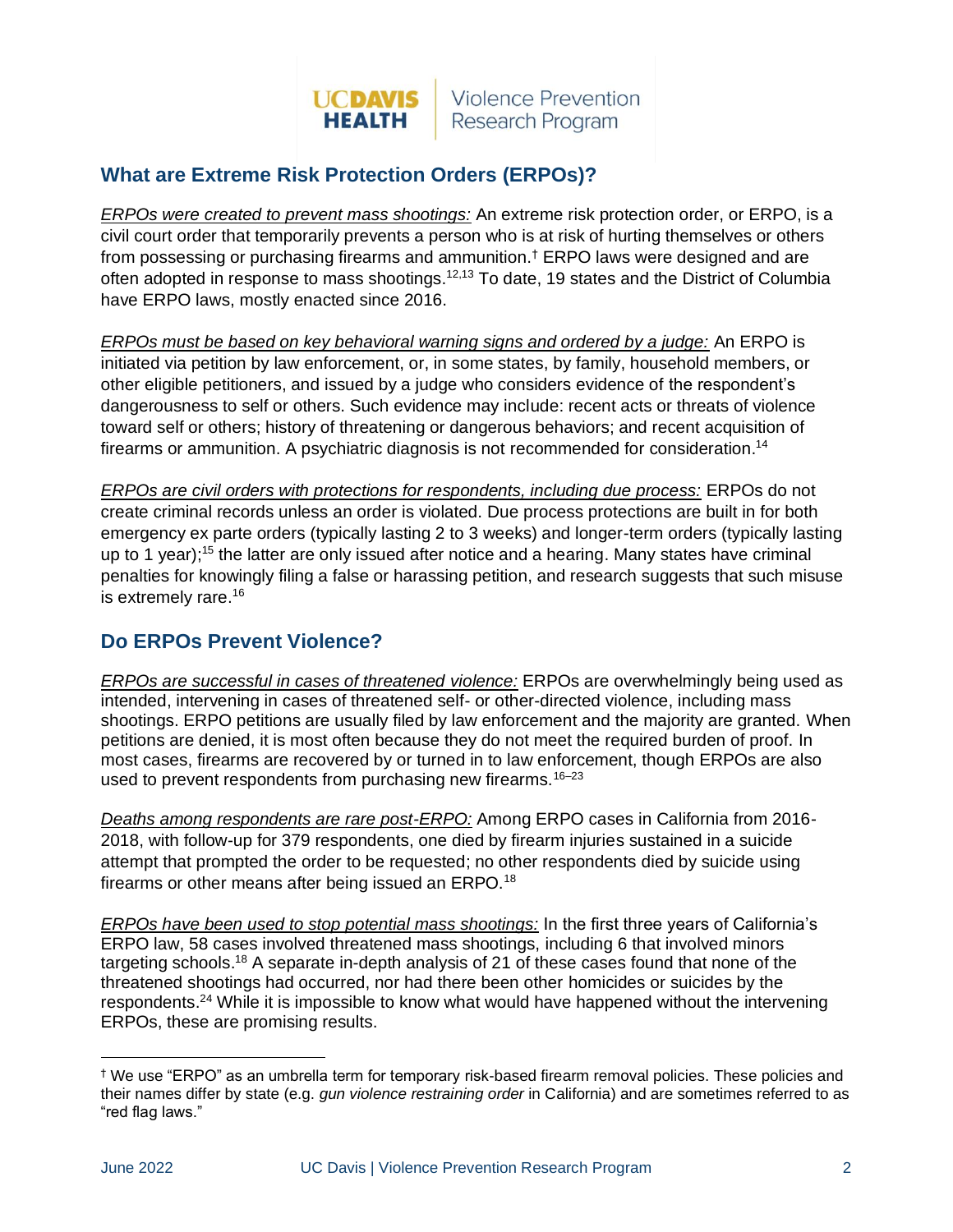

## **What are Extreme Risk Protection Orders (ERPOs)?**

*ERPOs were created to prevent mass shootings:* An extreme risk protection order, or ERPO, is a civil court order that temporarily prevents a person who is at risk of hurting themselves or others from possessing or purchasing firearms and ammunition.† ERPO laws were designed and are often adopted in response to mass shootings.<sup>12,13</sup> To date, 19 states and the District of Columbia have ERPO laws, mostly enacted since 2016.

*ERPOs must be based on key behavioral warning signs and ordered by a judge:* An ERPO is initiated via petition by law enforcement, or, in some states, by family, household members, or other eligible petitioners, and issued by a judge who considers evidence of the respondent's dangerousness to self or others. Such evidence may include: recent acts or threats of violence toward self or others; history of threatening or dangerous behaviors; and recent acquisition of firearms or ammunition. A psychiatric diagnosis is not recommended for consideration.<sup>14</sup>

*ERPOs are civil orders with protections for respondents, including due process:* ERPOs do not create criminal records unless an order is violated. Due process protections are built in for both emergency ex parte orders (typically lasting 2 to 3 weeks) and longer-term orders (typically lasting up to 1 year);<sup>15</sup> the latter are only issued after notice and a hearing. Many states have criminal penalties for knowingly filing a false or harassing petition, and research suggests that such misuse is extremely rare. 16

## **Do ERPOs Prevent Violence?**

*ERPOs are successful in cases of threatened violence:* ERPOs are overwhelmingly being used as intended, intervening in cases of threatened self- or other-directed violence, including mass shootings. ERPO petitions are usually filed by law enforcement and the majority are granted. When petitions are denied, it is most often because they do not meet the required burden of proof. In most cases, firearms are recovered by or turned in to law enforcement, though ERPOs are also used to prevent respondents from purchasing new firearms.<sup>16-23</sup>

*Deaths among respondents are rare post-ERPO:* Among ERPO cases in California from 2016- 2018, with follow-up for 379 respondents, one died by firearm injuries sustained in a suicide attempt that prompted the order to be requested; no other respondents died by suicide using firearms or other means after being issued an ERPO.<sup>18</sup>

*ERPOs have been used to stop potential mass shootings:* In the first three years of California's ERPO law, 58 cases involved threatened mass shootings, including 6 that involved minors targeting schools.<sup>18</sup> A separate in-depth analysis of 21 of these cases found that none of the threatened shootings had occurred, nor had there been other homicides or suicides by the respondents.<sup>24</sup> While it is impossible to know what would have happened without the intervening ERPOs, these are promising results.

<sup>†</sup> We use "ERPO" as an umbrella term for temporary risk-based firearm removal policies. These policies and their names differ by state (e.g. *gun violence restraining order* in California) and are sometimes referred to as "red flag laws."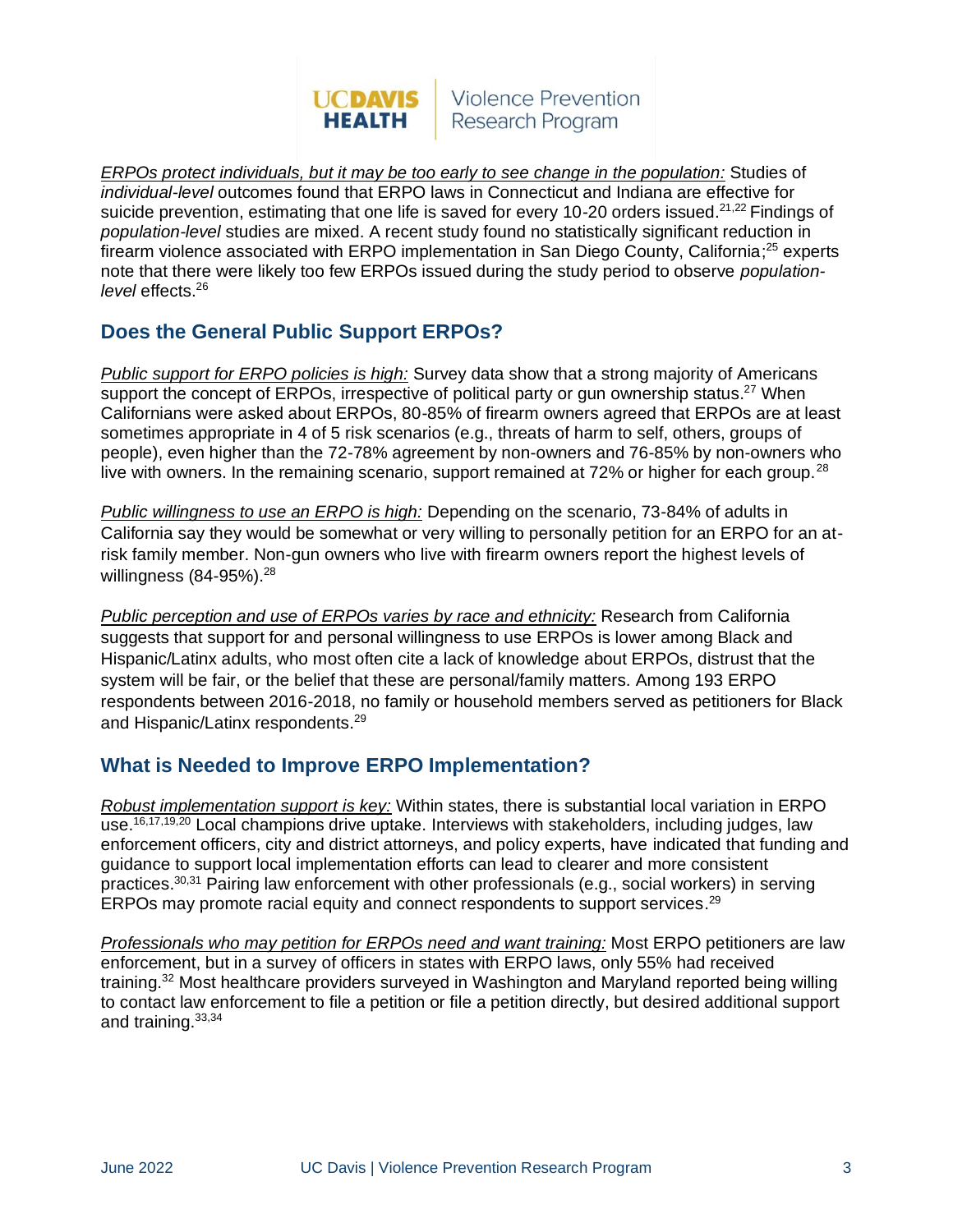#### **Violence Prevention UCDAVIS** Research Program **HEALTH**

*ERPOs protect individuals, but it may be too early to see change in the population:* Studies of *individual-level* outcomes found that ERPO laws in Connecticut and Indiana are effective for suicide prevention, estimating that one life is saved for every 10-20 orders issued.<sup>21,22</sup> Findings of *population-level* studies are mixed. A recent study found no statistically significant reduction in firearm violence associated with ERPO implementation in San Diego County, California;<sup>25</sup> experts note that there were likely too few ERPOs issued during the study period to observe *populationlevel* effects. 26

## **Does the General Public Support ERPOs?**

*Public support for ERPO policies is high:* Survey data show that a strong majority of Americans support the concept of ERPOs, irrespective of political party or gun ownership status.<sup>27</sup> When Californians were asked about ERPOs, 80-85% of firearm owners agreed that ERPOs are at least sometimes appropriate in 4 of 5 risk scenarios (e.g., threats of harm to self, others, groups of people), even higher than the 72-78% agreement by non-owners and 76-85% by non-owners who live with owners. In the remaining scenario, support remained at  $72\%$  or higher for each group.<sup>28</sup>

*Public willingness to use an ERPO is high:* Depending on the scenario, 73-84% of adults in California say they would be somewhat or very willing to personally petition for an ERPO for an atrisk family member. Non-gun owners who live with firearm owners report the highest levels of willingness (84-95%).<sup>28</sup>

*Public perception and use of ERPOs varies by race and ethnicity:* Research from California suggests that support for and personal willingness to use ERPOs is lower among Black and Hispanic/Latinx adults, who most often cite a lack of knowledge about ERPOs, distrust that the system will be fair, or the belief that these are personal/family matters. Among 193 ERPO respondents between 2016-2018, no family or household members served as petitioners for Black and Hispanic/Latinx respondents.<sup>29</sup>

## **What is Needed to Improve ERPO Implementation?**

*Robust implementation support is key:* Within states, there is substantial local variation in ERPO use.<sup>16,17,19,20</sup> Local champions drive uptake. Interviews with stakeholders, including judges, law enforcement officers, city and district attorneys, and policy experts, have indicated that funding and guidance to support local implementation efforts can lead to clearer and more consistent practices.<sup>30,31</sup> Pairing law enforcement with other professionals (e.g., social workers) in serving ERPOs may promote racial equity and connect respondents to support services.<sup>29</sup>

*Professionals who may petition for ERPOs need and want training:* Most ERPO petitioners are law enforcement, but in a survey of officers in states with ERPO laws, only 55% had received training.<sup>32</sup> Most healthcare providers surveyed in Washington and Maryland reported being willing to contact law enforcement to file a petition or file a petition directly, but desired additional support and training. 33,34